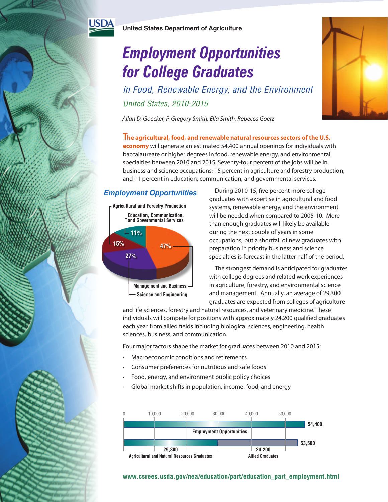

USD

# *Employment Opportunities for College Graduates*

*in Food, Renewable Energy, and the Environment United States, 2010-2015*

*Allan D. Goecker, P. Gregory Smith, Ella Smith, Rebecca Goetz*

**The agricultural, food, and renewable natural resources sectors of the U.S. economy** will generate an estimated 54,400 annual openings for individuals with baccalaureate or higher degrees in food, renewable energy, and environmental specialties between 2010 and 2015. Seventy-four percent of the jobs will be in business and science occupations; 15 percent in agriculture and forestry production; and 11 percent in education, communication, and governmental services.

# *Employment Opportunities*



During 2010-15, five percent more college graduates with expertise in agricultural and food systems, renewable energy, and the environment will be needed when compared to 2005-10. More than enough graduates will likely be available during the next couple of years in some occupations, but a shortfall of new graduates with preparation in priority business and science specialties is forecast in the latter half of the period.

The strongest demand is anticipated for graduates with college degrees and related work experiences in agriculture, forestry, and environmental science and management. Annually, an average of 29,300 graduates are expected from colleges of agriculture

and life sciences, forestry and natural resources, and veterinary medicine. These individuals will compete for positions with approximately 24,200 qualified graduates each year from allied fields including biological sciences, engineering, health sciences, business, and communication.

Four major factors shape the market for graduates between 2010 and 2015:

- · Macroeconomic conditions and retirements
- · Consumer preferences for nutritious and safe foods
- Food, energy, and environment public policy choices
- Global market shifts in population, income, food, and energy



## **www.csrees.usda.gov/nea/education/part/education\_part\_employment.html**